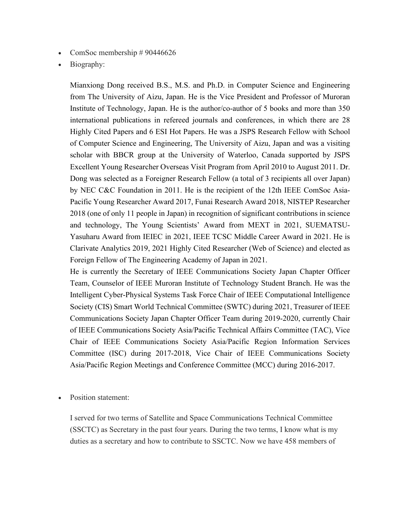- ComSoc membership  $\# 90446626$
- Biography:

Mianxiong Dong received B.S., M.S. and Ph.D. in Computer Science and Engineering from The University of Aizu, Japan. He is the Vice President and Professor of Muroran Institute of Technology, Japan. He is the author/co-author of 5 books and more than 350 international publications in refereed journals and conferences, in which there are 28 Highly Cited Papers and 6 ESI Hot Papers. He was a JSPS Research Fellow with School of Computer Science and Engineering, The University of Aizu, Japan and was a visiting scholar with BBCR group at the University of Waterloo, Canada supported by JSPS Excellent Young Researcher Overseas Visit Program from April 2010 to August 2011. Dr. Dong was selected as a Foreigner Research Fellow (a total of 3 recipients all over Japan) by NEC C&C Foundation in 2011. He is the recipient of the 12th IEEE ComSoc Asia-Pacific Young Researcher Award 2017, Funai Research Award 2018, NISTEP Researcher 2018 (one of only 11 people in Japan) in recognition of significant contributions in science and technology, The Young Scientists' Award from MEXT in 2021, SUEMATSU-Yasuharu Award from IEIEC in 2021, IEEE TCSC Middle Career Award in 2021. He is Clarivate Analytics 2019, 2021 Highly Cited Researcher (Web of Science) and elected as Foreign Fellow of The Engineering Academy of Japan in 2021.

He is currently the Secretary of IEEE Communications Society Japan Chapter Officer Team, Counselor of IEEE Muroran Institute of Technology Student Branch. He was the Intelligent Cyber-Physical Systems Task Force Chair of IEEE Computational Intelligence Society (CIS) Smart World Technical Committee (SWTC) during 2021, Treasurer of IEEE Communications Society Japan Chapter Officer Team during 2019-2020, currently Chair of IEEE Communications Society Asia/Pacific Technical Affairs Committee (TAC), Vice Chair of IEEE Communications Society Asia/Pacific Region Information Services Committee (ISC) during 2017-2018, Vice Chair of IEEE Communications Society Asia/Pacific Region Meetings and Conference Committee (MCC) during 2016-2017.

Position statement:

I served for two terms of Satellite and Space Communications Technical Committee (SSCTC) as Secretary in the past four years. During the two terms, I know what is my duties as a secretary and how to contribute to SSCTC. Now we have 458 members of